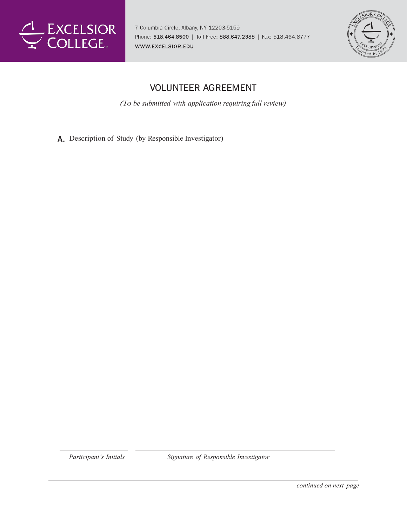

7 Columbia Circle, Albany, NY 12203-5159 Phone: 518.464.8500 | Toll Free: 888.647.2388 | Fax: 518.464.8777 WWW.EXCELSIOR.EDU



## **VOLUNTEER AGREEMENT**

*(To be submitted with application requiring full review)*

Description of Study (by Responsible Investigator)

*Participant's Initials Signature of Responsible Investigator*

*continued on next page*